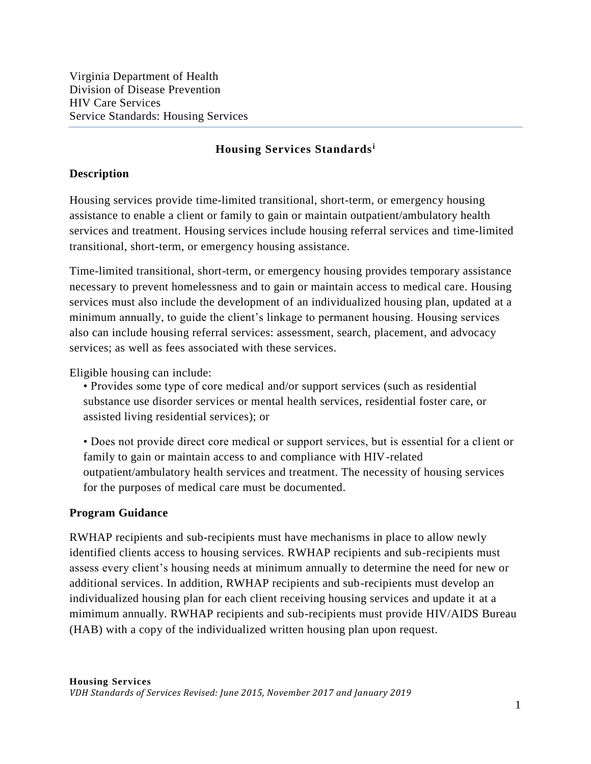## **Housing Services Standards<sup>i</sup>**

## **Description**

Housing services provide time-limited transitional, short-term, or emergency housing assistance to enable a client or family to gain or maintain outpatient/ambulatory health services and treatment. Housing services include housing referral services and time-limited transitional, short-term, or emergency housing assistance.

Time-limited transitional, short-term, or emergency housing provides temporary assistance necessary to prevent homelessness and to gain or maintain access to medical care. Housing services must also include the development of an individualized housing plan, updated at a minimum annually, to guide the client's linkage to permanent housing. Housing services also can include housing referral services: assessment, search, placement, and advocacy services; as well as fees associated with these services.

Eligible housing can include:

• Provides some type of core medical and/or support services (such as residential substance use disorder services or mental health services, residential foster care, or assisted living residential services); or

• Does not provide direct core medical or support services, but is essential for a client or family to gain or maintain access to and compliance with HIV-related outpatient/ambulatory health services and treatment. The necessity of housing services for the purposes of medical care must be documented.

### **Program Guidance**

RWHAP recipients and sub-recipients must have mechanisms in place to allow newly identified clients access to housing services. RWHAP recipients and sub-recipients must assess every client's housing needs at minimum annually to determine the need for new or additional services. In addition, RWHAP recipients and sub-recipients must develop an individualized housing plan for each client receiving housing services and update it at a mimimum annually. RWHAP recipients and sub-recipients must provide HIV/AIDS Bureau (HAB) with a copy of the individualized written housing plan upon request.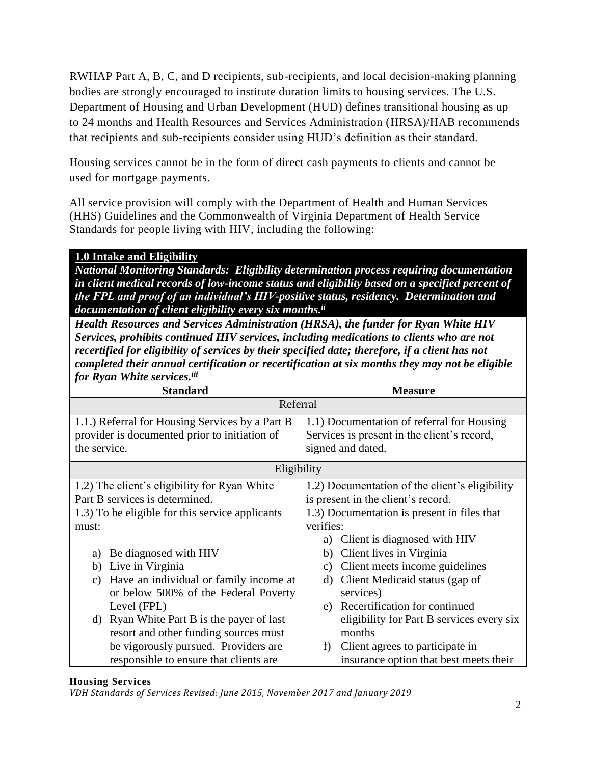RWHAP Part A, B, C, and D recipients, sub-recipients, and local decision-making planning bodies are strongly encouraged to institute duration limits to housing services. The U.S. Department of Housing and Urban Development (HUD) defines transitional housing as up to 24 months and Health Resources and Services Administration (HRSA)/HAB recommends that recipients and sub-recipients consider using HUD's definition as their standard.

Housing services cannot be in the form of direct cash payments to clients and cannot be used for mortgage payments.

All service provision will comply with the Department of Health and Human Services (HHS) Guidelines and the Commonwealth of Virginia Department of Health Service Standards for people living with HIV, including the following:

# **1.0 Intake and Eligibility**

*National Monitoring Standards: Eligibility determination process requiring documentation in client medical records of low-income status and eligibility based on a specified percent of the FPL and proof of an individual's HIV-positive status, residency. Determination and documentation of client eligibility every six months. ii*

*Health Resources and Services Administration (HRSA), the funder for Ryan White HIV Services, prohibits continued HIV services, including medications to clients who are not recertified for eligibility of services by their specified date; therefore, if a client has not completed their annual certification or recertification at six months they may not be eligible for Ryan White services.iii*

| <b>Standard</b>                                 | <b>Measure</b>                                 |
|-------------------------------------------------|------------------------------------------------|
| Referral                                        |                                                |
| 1.1.) Referral for Housing Services by a Part B | 1.1) Documentation of referral for Housing     |
| provider is documented prior to initiation of   | Services is present in the client's record,    |
| the service.                                    | signed and dated.                              |
| Eligibility                                     |                                                |
| 1.2) The client's eligibility for Ryan White    | 1.2) Documentation of the client's eligibility |
| Part B services is determined.                  | is present in the client's record.             |
| 1.3) To be eligible for this service applicants | 1.3) Documentation is present in files that    |
| must:                                           | verifies:                                      |
|                                                 | Client is diagnosed with HIV<br>a)             |
| Be diagnosed with HIV<br>a)                     | Client lives in Virginia<br>b)                 |
| Live in Virginia<br>b)                          | Client meets income guidelines<br>c)           |
| Have an individual or family income at<br>C)    | Client Medicaid status (gap of<br>d)           |
| or below 500% of the Federal Poverty            | services)                                      |
| Level (FPL)                                     | e) Recertification for continued               |
| Ryan White Part B is the payer of last<br>d)    | eligibility for Part B services every six      |
| resort and other funding sources must           | months                                         |
| be vigorously pursued. Providers are            | Client agrees to participate in<br>f)          |
| responsible to ensure that clients are          | insurance option that best meets their         |

#### **Housing Services**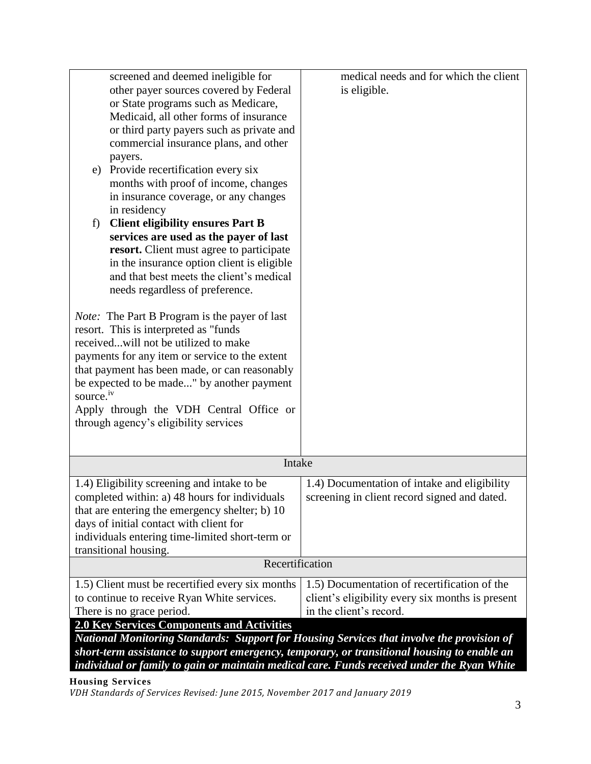| screened and deemed ineligible for                                                          | medical needs and for which the client           |  |
|---------------------------------------------------------------------------------------------|--------------------------------------------------|--|
| other payer sources covered by Federal                                                      | is eligible.                                     |  |
|                                                                                             |                                                  |  |
| or State programs such as Medicare,                                                         |                                                  |  |
| Medicaid, all other forms of insurance                                                      |                                                  |  |
| or third party payers such as private and                                                   |                                                  |  |
| commercial insurance plans, and other                                                       |                                                  |  |
| payers.                                                                                     |                                                  |  |
| e) Provide recertification every six                                                        |                                                  |  |
| months with proof of income, changes                                                        |                                                  |  |
| in insurance coverage, or any changes                                                       |                                                  |  |
| in residency                                                                                |                                                  |  |
| <b>Client eligibility ensures Part B</b><br>f)                                              |                                                  |  |
| services are used as the payer of last                                                      |                                                  |  |
| resort. Client must agree to participate                                                    |                                                  |  |
| in the insurance option client is eligible                                                  |                                                  |  |
| and that best meets the client's medical                                                    |                                                  |  |
| needs regardless of preference.                                                             |                                                  |  |
|                                                                                             |                                                  |  |
| <i>Note:</i> The Part B Program is the payer of last                                        |                                                  |  |
| resort. This is interpreted as "funds                                                       |                                                  |  |
| receivedwill not be utilized to make                                                        |                                                  |  |
| payments for any item or service to the extent                                              |                                                  |  |
| that payment has been made, or can reasonably                                               |                                                  |  |
| be expected to be made" by another payment                                                  |                                                  |  |
| source. <sup>iv</sup>                                                                       |                                                  |  |
| Apply through the VDH Central Office or                                                     |                                                  |  |
| through agency's eligibility services                                                       |                                                  |  |
|                                                                                             |                                                  |  |
|                                                                                             |                                                  |  |
| Intake                                                                                      |                                                  |  |
|                                                                                             |                                                  |  |
| 1.4) Eligibility screening and intake to be                                                 | 1.4) Documentation of intake and eligibility     |  |
| completed within: a) 48 hours for individuals                                               | screening in client record signed and dated      |  |
| that are entering the emergency shelter; b) 10                                              |                                                  |  |
| days of initial contact with client for                                                     |                                                  |  |
| individuals entering time-limited short-term or                                             |                                                  |  |
| transitional housing.                                                                       |                                                  |  |
| Recertification                                                                             |                                                  |  |
| 1.5) Client must be recertified every six months                                            | 1.5) Documentation of recertification of the     |  |
| to continue to receive Ryan White services.                                                 | client's eligibility every six months is present |  |
| There is no grace period.                                                                   | in the client's record.                          |  |
| <b>2.0 Key Services Components and Activities</b>                                           |                                                  |  |
| National Monitoring Standards: Support for Housing Services that involve the provision of   |                                                  |  |
| short-term assistance to support emergency, temporary, or transitional housing to enable an |                                                  |  |
| individual or family to gain or maintain medical care. Funds received under the Ryan White  |                                                  |  |
|                                                                                             |                                                  |  |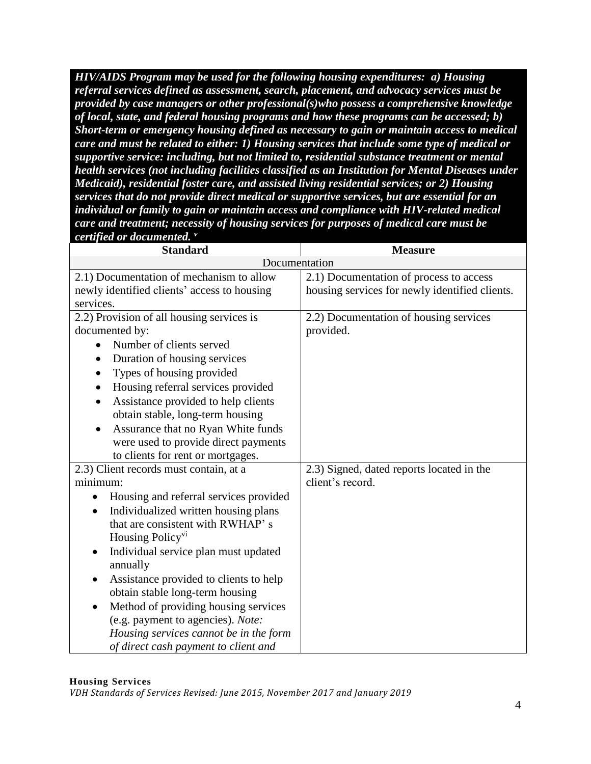*HIV/AIDS Program may be used for the following housing expenditures: a) Housing referral services defined as assessment, search, placement, and advocacy services must be provided by case managers or other professional(s)who possess a comprehensive knowledge of local, state, and federal housing programs and how these programs can be accessed; b) Short-term or emergency housing defined as necessary to gain or maintain access to medical care and must be related to either: 1) Housing services that include some type of medical or supportive service: including, but not limited to, residential substance treatment or mental health services (not including facilities classified as an Institution for Mental Diseases under Medicaid), residential foster care, and assisted living residential services; or 2) Housing services that do not provide direct medical or supportive services, but are essential for an individual or family to gain or maintain access and compliance with HIV-related medical care and treatment; necessity of housing services for purposes of medical care must be certified or documented. <sup>v</sup>*

| <b>Standard</b>                                     | <b>Measure</b>                                 |
|-----------------------------------------------------|------------------------------------------------|
| Documentation                                       |                                                |
| 2.1) Documentation of mechanism to allow            | 2.1) Documentation of process to access        |
| newly identified clients' access to housing         | housing services for newly identified clients. |
| services.                                           |                                                |
| 2.2) Provision of all housing services is           | 2.2) Documentation of housing services         |
| documented by:                                      | provided.                                      |
| Number of clients served                            |                                                |
| Duration of housing services                        |                                                |
| Types of housing provided                           |                                                |
| Housing referral services provided                  |                                                |
| Assistance provided to help clients                 |                                                |
| obtain stable, long-term housing                    |                                                |
| Assurance that no Ryan White funds                  |                                                |
| were used to provide direct payments                |                                                |
| to clients for rent or mortgages.                   |                                                |
| 2.3) Client records must contain, at a              | 2.3) Signed, dated reports located in the      |
| minimum:                                            | client's record.                               |
| Housing and referral services provided<br>$\bullet$ |                                                |
| Individualized written housing plans                |                                                |
| that are consistent with RWHAP's                    |                                                |
| Housing Policy <sup>vi</sup>                        |                                                |
| Individual service plan must updated                |                                                |
| annually                                            |                                                |
| Assistance provided to clients to help<br>$\bullet$ |                                                |
| obtain stable long-term housing                     |                                                |
| Method of providing housing services                |                                                |
| (e.g. payment to agencies). Note:                   |                                                |
| Housing services cannot be in the form              |                                                |
| of direct cash payment to client and                |                                                |

#### **Housing Services**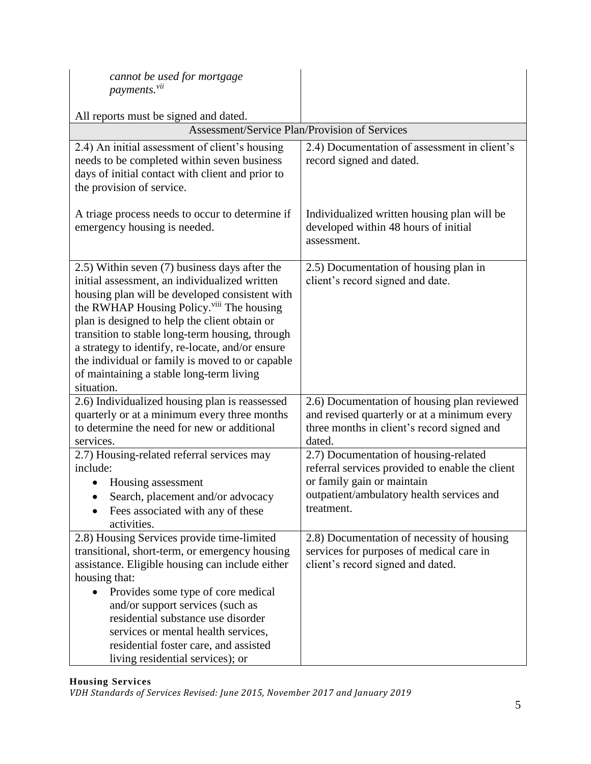| cannot be used for mortgage<br>payments. <sup>vii</sup>                                                                                                                                                                                                                                                                                                                                                                                                                        |                                                                                                                                                                                   |
|--------------------------------------------------------------------------------------------------------------------------------------------------------------------------------------------------------------------------------------------------------------------------------------------------------------------------------------------------------------------------------------------------------------------------------------------------------------------------------|-----------------------------------------------------------------------------------------------------------------------------------------------------------------------------------|
| All reports must be signed and dated.                                                                                                                                                                                                                                                                                                                                                                                                                                          |                                                                                                                                                                                   |
| <b>Assessment/Service Plan/Provision of Services</b>                                                                                                                                                                                                                                                                                                                                                                                                                           |                                                                                                                                                                                   |
| 2.4) An initial assessment of client's housing<br>needs to be completed within seven business<br>days of initial contact with client and prior to<br>the provision of service.                                                                                                                                                                                                                                                                                                 | 2.4) Documentation of assessment in client's<br>record signed and dated.                                                                                                          |
| A triage process needs to occur to determine if<br>emergency housing is needed.                                                                                                                                                                                                                                                                                                                                                                                                | Individualized written housing plan will be<br>developed within 48 hours of initial<br>assessment.                                                                                |
| 2.5) Within seven (7) business days after the<br>initial assessment, an individualized written<br>housing plan will be developed consistent with<br>the RWHAP Housing Policy. <sup>viii</sup> The housing<br>plan is designed to help the client obtain or<br>transition to stable long-term housing, through<br>a strategy to identify, re-locate, and/or ensure<br>the individual or family is moved to or capable<br>of maintaining a stable long-term living<br>situation. | 2.5) Documentation of housing plan in<br>client's record signed and date.                                                                                                         |
| 2.6) Individualized housing plan is reassessed<br>quarterly or at a minimum every three months<br>to determine the need for new or additional<br>services.                                                                                                                                                                                                                                                                                                                     | 2.6) Documentation of housing plan reviewed<br>and revised quarterly or at a minimum every<br>three months in client's record signed and<br>dated.                                |
| 2.7) Housing-related referral services may<br>include:<br>Housing assessment<br>Search, placement and/or advocacy<br>Fees associated with any of these<br>activities.                                                                                                                                                                                                                                                                                                          | 2.7) Documentation of housing-related<br>referral services provided to enable the client<br>or family gain or maintain<br>outpatient/ambulatory health services and<br>treatment. |
| 2.8) Housing Services provide time-limited<br>transitional, short-term, or emergency housing<br>assistance. Eligible housing can include either<br>housing that:<br>Provides some type of core medical<br>and/or support services (such as<br>residential substance use disorder<br>services or mental health services,<br>residential foster care, and assisted<br>living residential services); or                                                                           | 2.8) Documentation of necessity of housing<br>services for purposes of medical care in<br>client's record signed and dated.                                                       |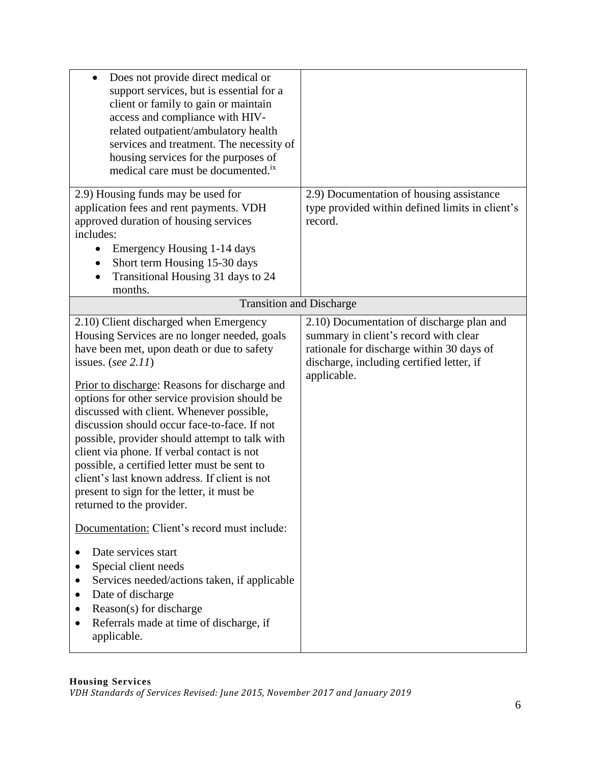| Does not provide direct medical or<br>support services, but is essential for a<br>client or family to gain or maintain<br>access and compliance with HIV-<br>related outpatient/ambulatory health<br>services and treatment. The necessity of<br>housing services for the purposes of<br>medical care must be documented. <sup>ix</sup>                                                                                                                                                                                                                                                                                                  |                                                                                                                                                                                             |
|------------------------------------------------------------------------------------------------------------------------------------------------------------------------------------------------------------------------------------------------------------------------------------------------------------------------------------------------------------------------------------------------------------------------------------------------------------------------------------------------------------------------------------------------------------------------------------------------------------------------------------------|---------------------------------------------------------------------------------------------------------------------------------------------------------------------------------------------|
| 2.9) Housing funds may be used for<br>application fees and rent payments. VDH<br>approved duration of housing services<br>includes:<br>Emergency Housing 1-14 days<br>$\bullet$<br>Short term Housing 15-30 days<br>$\bullet$<br>Transitional Housing 31 days to 24<br>$\bullet$<br>months.                                                                                                                                                                                                                                                                                                                                              | 2.9) Documentation of housing assistance<br>type provided within defined limits in client's<br>record.                                                                                      |
| <b>Transition and Discharge</b>                                                                                                                                                                                                                                                                                                                                                                                                                                                                                                                                                                                                          |                                                                                                                                                                                             |
| 2.10) Client discharged when Emergency<br>Housing Services are no longer needed, goals<br>have been met, upon death or due to safety<br>issues. (see $2.11$ )<br>Prior to discharge: Reasons for discharge and<br>options for other service provision should be<br>discussed with client. Whenever possible,<br>discussion should occur face-to-face. If not<br>possible, provider should attempt to talk with<br>client via phone. If verbal contact is not<br>possible, a certified letter must be sent to<br>client's last known address. If client is not<br>present to sign for the letter, it must be<br>returned to the provider. | 2.10) Documentation of discharge plan and<br>summary in client's record with clear<br>rationale for discharge within 30 days of<br>discharge, including certified letter, if<br>applicable. |
| Documentation: Client's record must include:                                                                                                                                                                                                                                                                                                                                                                                                                                                                                                                                                                                             |                                                                                                                                                                                             |
| Date services start<br>Special client needs<br>Services needed/actions taken, if applicable<br>Date of discharge<br>Reason(s) for discharge<br>Referrals made at time of discharge, if<br>applicable.                                                                                                                                                                                                                                                                                                                                                                                                                                    |                                                                                                                                                                                             |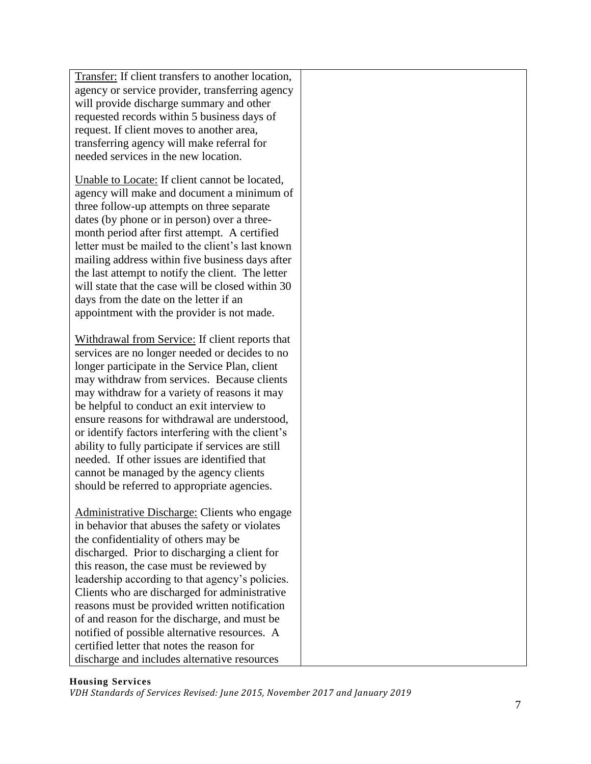Transfer: If client transfers to another location, agency or service provider, transferring agency will provide discharge summary and other requested records within 5 business days of request. If client moves to another area, transferring agency will make referral for needed services in the new location. Unable to Locate: If client cannot be located, agency will make and document a minimum of three follow-up attempts on three separate dates (by phone or in person) over a threemonth period after first attempt. A certified letter must be mailed to the client's last known mailing address within five business days after the last attempt to notify the client. The letter will state that the case will be closed within 30 days from the date on the letter if an appointment with the provider is not made. Withdrawal from Service: If client reports that services are no longer needed or decides to no longer participate in the Service Plan, client may withdraw from services. Because clients may withdraw for a variety of reasons it may be helpful to conduct an exit interview to ensure reasons for withdrawal are understood, or identify factors interfering with the client's ability to fully participate if services are still needed. If other issues are identified that cannot be managed by the agency clients should be referred to appropriate agencies. Administrative Discharge: Clients who engage in behavior that abuses the safety or violates the confidentiality of others may be discharged. Prior to discharging a client for this reason, the case must be reviewed by leadership according to that agency's policies. Clients who are discharged for administrative reasons must be provided written notification of and reason for the discharge, and must be notified of possible alternative resources. A certified letter that notes the reason for

#### **Housing Services**

*VDH Standards of Services Revised: June 2015, November 2017 and January 2019*

discharge and includes alternative resources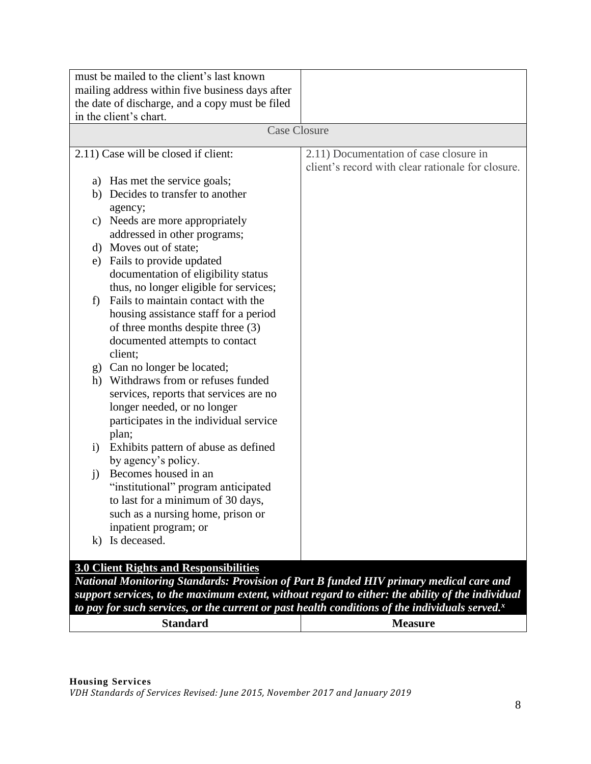| must be mailed to the client's last known                                                         |                                                   |
|---------------------------------------------------------------------------------------------------|---------------------------------------------------|
| mailing address within five business days after                                                   |                                                   |
| the date of discharge, and a copy must be filed                                                   |                                                   |
| in the client's chart.                                                                            |                                                   |
| <b>Case Closure</b>                                                                               |                                                   |
|                                                                                                   |                                                   |
| 2.11) Case will be closed if client:                                                              | 2.11) Documentation of case closure in            |
|                                                                                                   | client's record with clear rationale for closure. |
| a) Has met the service goals;                                                                     |                                                   |
| b) Decides to transfer to another                                                                 |                                                   |
| agency;                                                                                           |                                                   |
| Needs are more appropriately<br>C)                                                                |                                                   |
| addressed in other programs;                                                                      |                                                   |
| d) Moves out of state;                                                                            |                                                   |
| Fails to provide updated<br>e)                                                                    |                                                   |
| documentation of eligibility status                                                               |                                                   |
| thus, no longer eligible for services;<br>Fails to maintain contact with the                      |                                                   |
| f)<br>housing assistance staff for a period                                                       |                                                   |
| of three months despite three (3)                                                                 |                                                   |
| documented attempts to contact                                                                    |                                                   |
| client;                                                                                           |                                                   |
| g) Can no longer be located;                                                                      |                                                   |
| h) Withdraws from or refuses funded                                                               |                                                   |
| services, reports that services are no                                                            |                                                   |
| longer needed, or no longer                                                                       |                                                   |
| participates in the individual service                                                            |                                                   |
| plan;                                                                                             |                                                   |
| Exhibits pattern of abuse as defined<br>$\mathbf{i}$                                              |                                                   |
| by agency's policy.                                                                               |                                                   |
| Becomes housed in an<br>$\mathbf{i}$                                                              |                                                   |
| "institutional" program anticipated                                                               |                                                   |
| to last for a minimum of 30 days,                                                                 |                                                   |
| such as a nursing home, prison or                                                                 |                                                   |
| inpatient program; or                                                                             |                                                   |
| k) Is deceased.                                                                                   |                                                   |
|                                                                                                   |                                                   |
| <b>3.0 Client Rights and Responsibilities</b>                                                     |                                                   |
| National Monitoring Standards: Provision of Part B funded HIV primary medical care and            |                                                   |
| support services, to the maximum extent, without regard to either: the ability of the individual  |                                                   |
| to pay for such services, or the current or past health conditions of the individuals served. $x$ |                                                   |
| <b>Standard</b>                                                                                   | <b>Measure</b>                                    |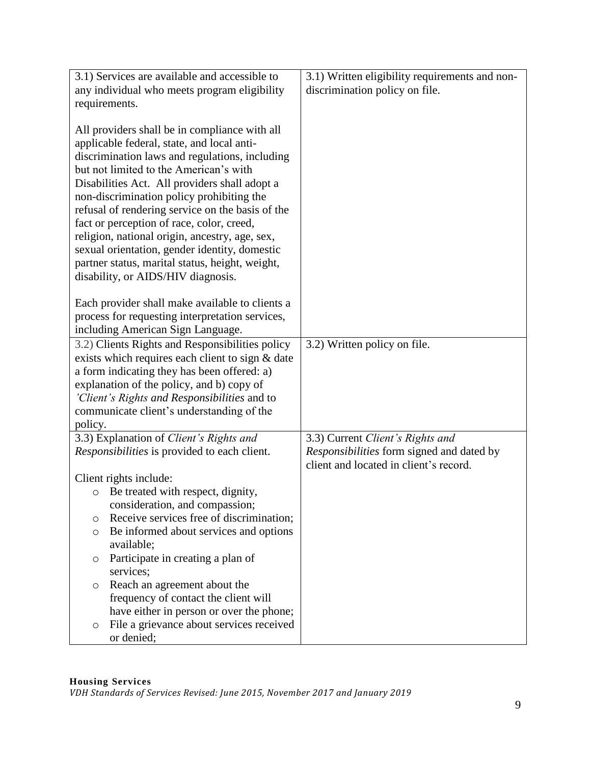|                        | 3.1) Services are available and accessible to       | 3.1) Written eligibility requirements and non-   |
|------------------------|-----------------------------------------------------|--------------------------------------------------|
|                        | any individual who meets program eligibility        | discrimination policy on file.                   |
| requirements.          |                                                     |                                                  |
|                        |                                                     |                                                  |
|                        | All providers shall be in compliance with all       |                                                  |
|                        | applicable federal, state, and local anti-          |                                                  |
|                        | discrimination laws and regulations, including      |                                                  |
|                        | but not limited to the American's with              |                                                  |
|                        | Disabilities Act. All providers shall adopt a       |                                                  |
|                        | non-discrimination policy prohibiting the           |                                                  |
|                        | refusal of rendering service on the basis of the    |                                                  |
|                        | fact or perception of race, color, creed,           |                                                  |
|                        | religion, national origin, ancestry, age, sex,      |                                                  |
|                        | sexual orientation, gender identity, domestic       |                                                  |
|                        | partner status, marital status, height, weight,     |                                                  |
|                        | disability, or AIDS/HIV diagnosis.                  |                                                  |
|                        |                                                     |                                                  |
|                        | Each provider shall make available to clients a     |                                                  |
|                        | process for requesting interpretation services,     |                                                  |
|                        | including American Sign Language.                   |                                                  |
|                        | 3.2) Clients Rights and Responsibilities policy     | 3.2) Written policy on file.                     |
|                        | exists which requires each client to sign & date    |                                                  |
|                        | a form indicating they has been offered: a)         |                                                  |
|                        | explanation of the policy, and b) copy of           |                                                  |
|                        | 'Client's Rights and Responsibilities and to        |                                                  |
|                        | communicate client's understanding of the           |                                                  |
| policy.                |                                                     |                                                  |
|                        | 3.3) Explanation of Client's Rights and             | 3.3) Current Client's Rights and                 |
|                        | <i>Responsibilities</i> is provided to each client. | <i>Responsibilities</i> form signed and dated by |
|                        |                                                     | client and located in client's record.           |
| Client rights include: |                                                     |                                                  |
| $\circ$                | Be treated with respect, dignity,                   |                                                  |
|                        | consideration, and compassion;                      |                                                  |
| O                      | Receive services free of discrimination;            |                                                  |
| O                      | Be informed about services and options              |                                                  |
|                        | available;                                          |                                                  |
| O                      | Participate in creating a plan of                   |                                                  |
| services;              |                                                     |                                                  |
| O                      | Reach an agreement about the                        |                                                  |
|                        | frequency of contact the client will                |                                                  |
|                        | have either in person or over the phone;            |                                                  |
| O                      | File a grievance about services received            |                                                  |
|                        | or denied;                                          |                                                  |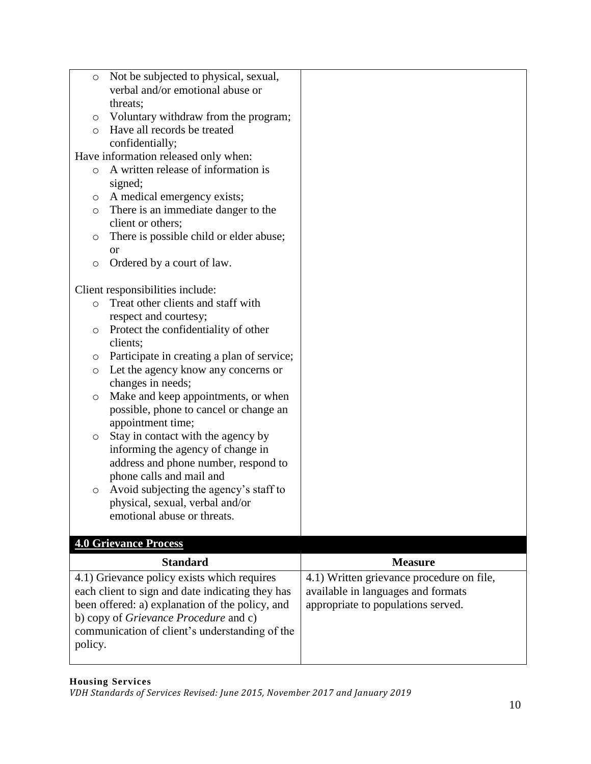| O       | Not be subjected to physical, sexual,            |                                           |
|---------|--------------------------------------------------|-------------------------------------------|
|         | verbal and/or emotional abuse or                 |                                           |
|         | threats;                                         |                                           |
| O       | Voluntary withdraw from the program;             |                                           |
| $\circ$ | Have all records be treated                      |                                           |
|         | confidentially;                                  |                                           |
|         | Have information released only when:             |                                           |
| $\circ$ | A written release of information is              |                                           |
|         | signed;                                          |                                           |
| O       | A medical emergency exists;                      |                                           |
| O       | There is an immediate danger to the              |                                           |
|         | client or others;                                |                                           |
|         | There is possible child or elder abuse;          |                                           |
| O       |                                                  |                                           |
|         | <b>or</b>                                        |                                           |
| $\circ$ | Ordered by a court of law.                       |                                           |
|         | Client responsibilities include:                 |                                           |
|         | Treat other clients and staff with               |                                           |
| $\circ$ |                                                  |                                           |
|         | respect and courtesy;                            |                                           |
| $\circ$ | Protect the confidentiality of other             |                                           |
|         | clients;                                         |                                           |
| O       | Participate in creating a plan of service;       |                                           |
| $\circ$ | Let the agency know any concerns or              |                                           |
|         | changes in needs;                                |                                           |
| O       | Make and keep appointments, or when              |                                           |
|         | possible, phone to cancel or change an           |                                           |
|         | appointment time;                                |                                           |
| O       | Stay in contact with the agency by               |                                           |
|         | informing the agency of change in                |                                           |
|         | address and phone number, respond to             |                                           |
|         | phone calls and mail and                         |                                           |
| O       | Avoid subjecting the agency's staff to           |                                           |
|         | physical, sexual, verbal and/or                  |                                           |
|         | emotional abuse or threats.                      |                                           |
|         |                                                  |                                           |
|         | <b>4.0 Grievance Process</b>                     |                                           |
|         | <b>Standard</b>                                  | <b>Measure</b>                            |
|         | 4.1) Grievance policy exists which requires      | 4.1) Written grievance procedure on file, |
|         | each client to sign and date indicating they has | available in languages and formats        |
|         |                                                  | appropriate to populations served.        |
|         |                                                  |                                           |
|         | been offered: a) explanation of the policy, and  |                                           |
|         | b) copy of Grievance Procedure and c)            |                                           |
|         | communication of client's understanding of the   |                                           |
| policy. |                                                  |                                           |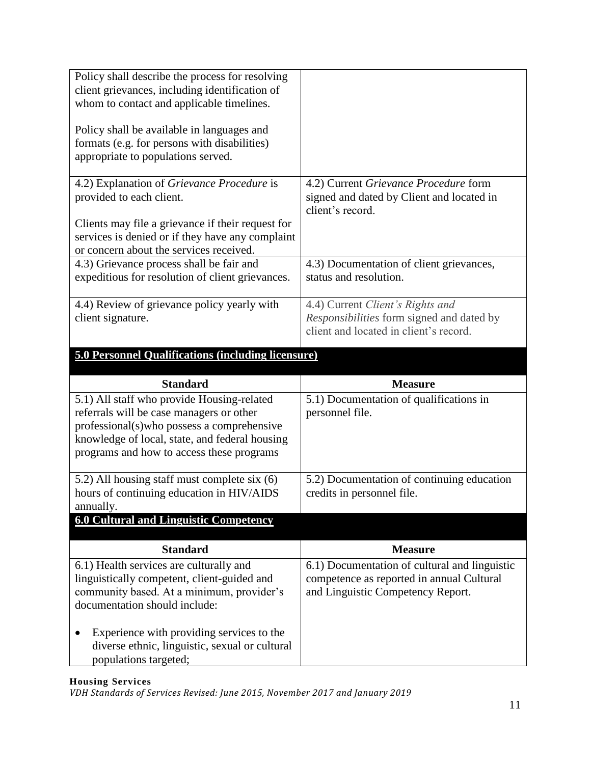| Policy shall describe the process for resolving<br>client grievances, including identification of<br>whom to contact and applicable timelines.   |                                                                                                                                |
|--------------------------------------------------------------------------------------------------------------------------------------------------|--------------------------------------------------------------------------------------------------------------------------------|
| Policy shall be available in languages and<br>formats (e.g. for persons with disabilities)<br>appropriate to populations served.                 |                                                                                                                                |
| 4.2) Explanation of <i>Grievance Procedure</i> is<br>provided to each client.                                                                    | 4.2) Current <i>Grievance Procedure</i> form<br>signed and dated by Client and located in<br>client's record.                  |
| Clients may file a grievance if their request for<br>services is denied or if they have any complaint<br>or concern about the services received. |                                                                                                                                |
| 4.3) Grievance process shall be fair and<br>expeditious for resolution of client grievances.                                                     | 4.3) Documentation of client grievances,<br>status and resolution.                                                             |
| 4.4) Review of grievance policy yearly with<br>client signature.                                                                                 | 4.4) Current Client's Rights and<br><i>Responsibilities</i> form signed and dated by<br>client and located in client's record. |

# **5.0 Personnel Qualifications (including licensure)**

| <b>Standard</b>                                                                             | <b>Measure</b>                                |
|---------------------------------------------------------------------------------------------|-----------------------------------------------|
| 5.1) All staff who provide Housing-related                                                  | 5.1) Documentation of qualifications in       |
| referrals will be case managers or other                                                    | personnel file.                               |
| professional(s) who possess a comprehensive                                                 |                                               |
| knowledge of local, state, and federal housing                                              |                                               |
| programs and how to access these programs                                                   |                                               |
| 5.2) All housing staff must complete six (6)                                                | 5.2) Documentation of continuing education    |
| hours of continuing education in HIV/AIDS                                                   | credits in personnel file.                    |
| annually.                                                                                   |                                               |
| <b>6.0 Cultural and Linguistic Competency</b>                                               |                                               |
|                                                                                             |                                               |
| <b>Standard</b>                                                                             | <b>Measure</b>                                |
| 6.1) Health services are culturally and                                                     | 6.1) Documentation of cultural and linguistic |
| linguistically competent, client-guided and                                                 | competence as reported in annual Cultural     |
| community based. At a minimum, provider's                                                   | and Linguistic Competency Report.             |
| documentation should include:                                                               |                                               |
|                                                                                             |                                               |
| Experience with providing services to the<br>diverse ethnic, linguistic, sexual or cultural |                                               |
| populations targeted;                                                                       |                                               |
|                                                                                             |                                               |

#### **Housing Services**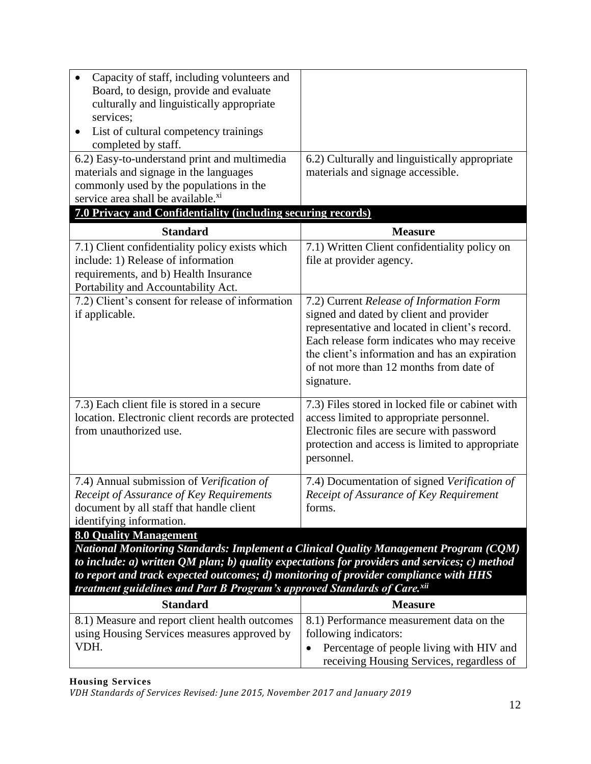| Capacity of staff, including volunteers and<br>Board, to design, provide and evaluate<br>culturally and linguistically appropriate<br>services;<br>List of cultural competency trainings<br>completed by staff.<br>6.2) Easy-to-understand print and multimedia<br>materials and signage in the languages<br>commonly used by the populations in the<br>service area shall be available. <sup>xi</sup> | 6.2) Culturally and linguistically appropriate<br>materials and signage accessible.                                                                                                                                                                                                             |
|--------------------------------------------------------------------------------------------------------------------------------------------------------------------------------------------------------------------------------------------------------------------------------------------------------------------------------------------------------------------------------------------------------|-------------------------------------------------------------------------------------------------------------------------------------------------------------------------------------------------------------------------------------------------------------------------------------------------|
| 7.0 Privacy and Confidentiality (including securing records)                                                                                                                                                                                                                                                                                                                                           |                                                                                                                                                                                                                                                                                                 |
| <b>Standard</b>                                                                                                                                                                                                                                                                                                                                                                                        | <b>Measure</b>                                                                                                                                                                                                                                                                                  |
| 7.1) Client confidentiality policy exists which<br>include: 1) Release of information<br>requirements, and b) Health Insurance<br>Portability and Accountability Act.                                                                                                                                                                                                                                  | 7.1) Written Client confidentiality policy on<br>file at provider agency.                                                                                                                                                                                                                       |
| 7.2) Client's consent for release of information<br>if applicable.                                                                                                                                                                                                                                                                                                                                     | 7.2) Current Release of Information Form<br>signed and dated by client and provider<br>representative and located in client's record.<br>Each release form indicates who may receive<br>the client's information and has an expiration<br>of not more than 12 months from date of<br>signature. |
| 7.3) Each client file is stored in a secure<br>location. Electronic client records are protected<br>from unauthorized use.                                                                                                                                                                                                                                                                             | 7.3) Files stored in locked file or cabinet with<br>access limited to appropriate personnel.<br>Electronic files are secure with password<br>protection and access is limited to appropriate<br>personnel.                                                                                      |
| 7.4) Annual submission of Verification of<br>Receipt of Assurance of Key Requirements<br>document by all staff that handle client<br>identifying information.                                                                                                                                                                                                                                          | 7.4) Documentation of signed Verification of<br>Receipt of Assurance of Key Requirement<br>forms.                                                                                                                                                                                               |
| <b>8.0 Quality Management</b><br><b>National Monitoring Standards: Implement a Clinical Quality Management Program (CQM)</b><br>to include: $a)$ written QM plan; $b)$ quality expectations for providers and services; c) method<br>to report and track expected outcomes; d) monitoring of provider compliance with HHS<br>treatment guidelines and Part B Program's approved Standards of Care.xii  |                                                                                                                                                                                                                                                                                                 |

| <b>Standard</b>                                | <b>Measure</b>                                        |
|------------------------------------------------|-------------------------------------------------------|
| 8.1) Measure and report client health outcomes | 8.1) Performance measurement data on the              |
| using Housing Services measures approved by    | following indicators:                                 |
| VDH.                                           | Percentage of people living with HIV and<br>$\bullet$ |
|                                                | receiving Housing Services, regardless of             |